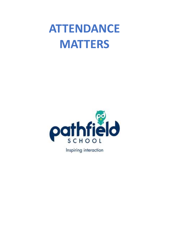# **ATTENDANCE MATTERS**



Inspiring interaction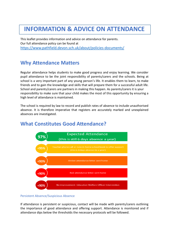## **INFORMATION & ADVICE ON ATTENDANCE**

This leaflet provides information and advice on attendance for parents. Our full attendance policy can be found at <https://www.pathfield.devon.sch.uk/about/policies-documents/>

## **Why Attendance Matters**

Regular attendance helps students to make good progress and enjoy learning. We consider pupil attendance to be the joint responsibility of parents/carers and the schools. Being at school is a very important part of any young person's life. It enables them to learn, to make friends and to gain the knowledge and skills that will prepare them for a successful adult life. School and parents/carers are partners in making this happen. As parents/carers it is your responsibility to make sure that your child makes the most of this opportunity by ensuring a high level of attendance is maintained.

The school is required by law to record and publish rates of absence to include unauthorised absence. It is therefore imperative that registers are accurately marked and unexplained absences are investigated.



## **What Constitutes Good Attendance?**

#### Persistent Absence/Suspicious Absence

If attendance is persistent or suspicious, contact will be made with parents/carers outlining the importance of good attendance and offering support. Attendance is monitored and if attendance dips below the thresholds the necessary protocols will be followed.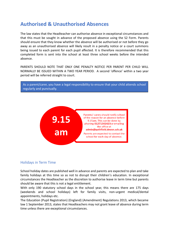### **Authorised & Unauthorised Absences**

The law states that the Headteacher can authorise absence in exceptional circumstances and that this must be sought in advance of the proposed absence using the S2 Form. Parents should ensure that they know whether the absence will be authorised or not before they go away as an unauthorised absence will likely result in a penalty notice or a court summons being issued to each parent for each pupil affected. It is therefore recommended that this completed form is sent into the school at least three school weeks before the intended absence.

PARENTS SHOULD NOTE THAT ONLY ONE PENALTY NOTICE PER PARENT PER CHILD WILL NORMALLY BE ISSUED WITHIN A TWO YEAR PERIOD. A second 'offence' within a two year period will be referred straight to court.





#### Holidays in Term Time

School holiday dates are published well in advance and parents are expected to plan and take family holidays at this time so as not to disrupt their children's education. In exceptional circumstances the Headteacher as the discretion to authorise leave in term time but parents should be aware that this is not a legal entitlement.

With only 190 statutory school days in the school year, this means there are 175 days (weekends and school holidays) left for family visits, non-urgent medical/dental appointments, holidays etc.

The Education (Pupil Registration) (England) (Amendment) Regulations 2013, which became law 1 September 2013, states that Headteachers may not grant leave of absence during term time unless there are exceptional circumstances.